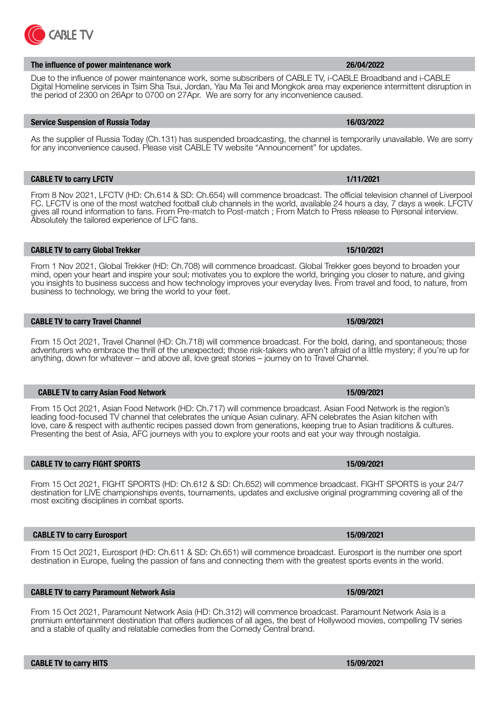# **The influence of power maintenance work 26/04/2022**

**ABLE TV** 

Due to the influence of power maintenance work, some subscribers of CABLE TV, i-CABLE Broadband and i-CABLE Digital Homeline services in Tsim Sha Tsui, Jordan, Yau Ma Tei and Mongkok area may experience intermittent disruption in the period of 2300 on 26Apr to 0700 on 27Apr. We are sorry for any inconvenience caused.

# **Service Suspension of Russia Today 16/03/2022**

As the supplier of Russia Today (Ch.131) has suspended broadcasting, the channel is temporarily unavailable. We are sorry for any inconvenience caused. Please visit CABLE TV website "Announcement" for updates.

From 8 Nov 2021, LFCTV (HD: Ch.614 & SD: Ch.654) will commence broadcast. The official television channel of Liverpool FC. LFCTV is one of the most watched football club channels in the world, available 24 hours a day, 7 days a week. LFCTV gives all round information to fans. From Pre-match to Post-match ; From Match to Press release to Personal interview. Absolutely the tailored experience of LFC fans.

**CABLE TV to carry LFCTV 1/11/2021**

From 1 Nov 2021, Global Trekker (HD: Ch.708) will commence broadcast. Global Trekker goes beyond to broaden your mind, open your heart and inspire your soul; motivates you to explore the world, bringing you closer to nature, and giving you insights to business success and how technology improves your everyday lives. From travel and food, to nature, from business to technology, we bring the world to your feet.

# **CABLE TV to carry Travel Channel 15/09/2021**

From 15 Oct 2021, Travel Channel (HD: Ch.718) will commence broadcast. For the bold, daring, and spontaneous; those adventurers who embrace the thrill of the unexpected; those risk-takers who aren't afraid of a little mystery; if you're up for anything, down for whatever – and above all, love great stories – journey on to Travel Channel.

### **CABLE TV to carry Asian Food Network 15/09/2021**

From 15 Oct 2021, Asian Food Network (HD: Ch.717) will commence broadcast. Asian Food Network is the region's leading food-focused TV channel that celebrates the unique Asian culinary. AFN celebrates the Asian kitchen with love, care & respect with authentic recipes passed down from generations, keeping true to Asian traditions & cultures. Presenting the best of Asia, AFC journeys with you to explore your roots and eat your way through nostalgia.

From 15 Oct 2021, FIGHT SPORTS (HD: Ch.612 & SD: Ch.652) will commence broadcast. FIGHT SPORTS is your 24/7 destination for LIVE championships events, tournaments, updates and exclusive original programming covering all of the most exciting disciplines in combat sports.

# **CABLE TV to carry Eurosport 15/09/2021**

From 15 Oct 2021, Eurosport (HD: Ch.611 & SD: Ch.651) will commence broadcast. Eurosport is the number one sport destination in Europe, fueling the passion of fans and connecting them with the greatest sports events in the world.

### From 15 Oct 2021, Paramount Network Asia (HD: Ch.312) will commence broadcast. Paramount Network Asia is a premium entertainment destination that offers audiences of all ages, the best of Hollywood movies, compelling TV series and a stable of quality and relatable comedies from the Comedy Central brand.

**CABLE TV to carry Global Trekker 15/10/2021**

**CABLE TV to carry Paramount Network Asia 15/09/2021**

**CABLE TV to carry FIGHT SPORTS 15/09/2021**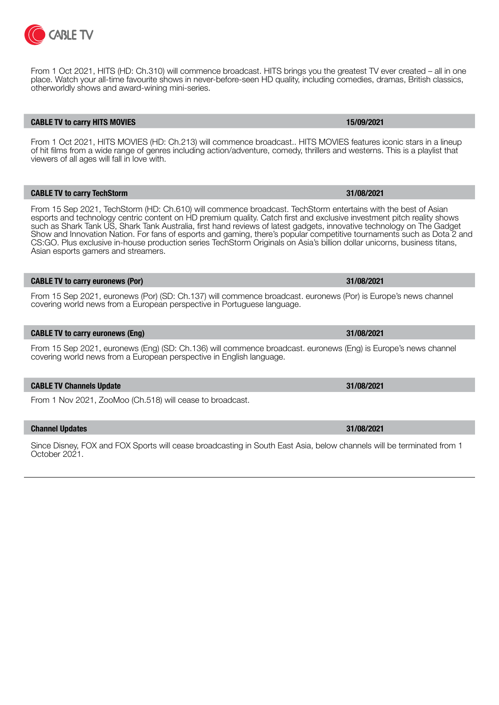

From 1 Oct 2021, HITS (HD: Ch.310) will commence broadcast. HITS brings you the greatest TV ever created – all in one place. Watch your all-time favourite shows in never-before-seen HD quality, including comedies, dramas, British classics, otherworldly shows and award-wining mini-series.

### **CABLE TV to carry HITS MOVIES 15/09/2021**

From 1 Oct 2021, HITS MOVIES (HD: Ch.213) will commence broadcast.. HITS MOVIES features iconic stars in a lineup of hit films from a wide range of genres including action/adventure, comedy, thrillers and westerns. This is a playlist that viewers of all ages will fall in love with.

**CABLE TV to carry TechStorm 31/08/2021**

From 15 Sep 2021, TechStorm (HD: Ch.610) will commence broadcast. TechStorm entertains with the best of Asian esports and technology centric content on HD premium quality. Catch first and exclusive investment pitch reality shows such as Shark Tank US, Shark Tank Australia, first hand reviews of latest gadgets, innovative technology on The Gadget Show and Innovation Nation. For fans of esports and gaming, there's popular competitive tournaments such as Dota 2 and CS:GO. Plus exclusive in-house production series TechStorm Originals on Asia's billion dollar unicorns, business titans, Asian esports gamers and streamers.

### **CABLE TV to carry euronews (Por) 31/08/2021**

From 15 Sep 2021, euronews (Por) (SD: Ch.137) will commence broadcast. euronews (Por) is Europe's news channel covering world news from a European perspective in Portuguese language.

# **CABLE TV to carry euronews (Eng) 31/08/2021**

From 15 Sep 2021, euronews (Eng) (SD: Ch.136) will commence broadcast. euronews (Eng) is Europe's news channel covering world news from a European perspective in English language.

### **CABLE TV Channels Update 31/08/2021**

From 1 Nov 2021, ZooMoo (Ch.518) will cease to broadcast.

**Channel Updates 31/08/2021**

Since Disney, FOX and FOX Sports will cease broadcasting in South East Asia, below channels will be terminated from 1 October 2021.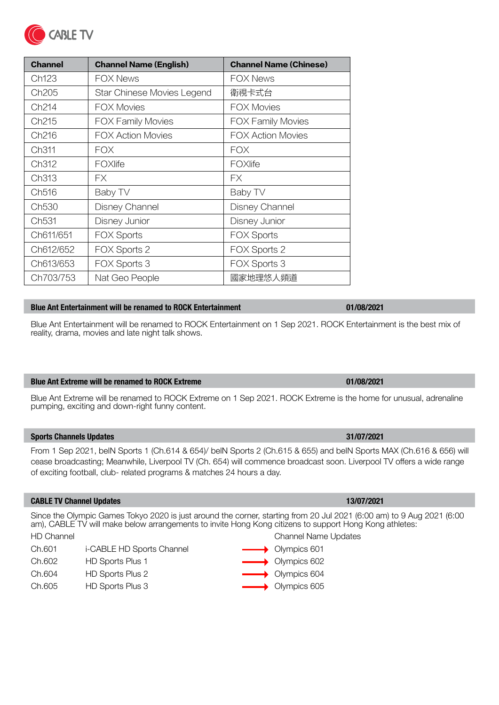| <b>Channel</b>    | <b>Channel Name (English)</b> | <b>Channel Name (Chinese)</b> |
|-------------------|-------------------------------|-------------------------------|
| Ch123             | <b>FOX News</b>               | <b>FOX News</b>               |
| Ch <sub>205</sub> | Star Chinese Movies Legend    | 衛視卡式台                         |
| Ch214             | <b>FOX Movies</b>             | <b>FOX Movies</b>             |
| Ch <sub>215</sub> | <b>FOX Family Movies</b>      | <b>FOX Family Movies</b>      |
| Ch <sub>216</sub> | <b>FOX Action Movies</b>      | <b>FOX Action Movies</b>      |
| Ch311             | <b>FOX</b>                    | <b>FOX</b>                    |
| Ch <sub>312</sub> | FOXIife                       | FOXIife                       |
| Ch313             | FX.                           | FХ                            |
| Ch516             | Baby TV                       | Baby TV                       |
| Ch <sub>530</sub> | <b>Disney Channel</b>         | Disney Channel                |
| Ch <sub>531</sub> | Disney Junior                 | Disney Junior                 |
| Ch611/651         | <b>FOX Sports</b>             | <b>FOX Sports</b>             |
| Ch612/652         | FOX Sports 2                  | FOX Sports 2                  |
| Ch613/653         | FOX Sports 3                  | FOX Sports 3                  |
| Ch703/753         | Nat Geo People                | 國家地理悠人頻道                      |

# **Blue Ant Entertainment will be renamed to ROCK Entertainment 01/08/2021**

Blue Ant Entertainment will be renamed to ROCK Entertainment on 1 Sep 2021. ROCK Entertainment is the best mix of reality, drama, movies and late night talk shows.

# **Blue Ant Extreme will be renamed to ROCK Extreme 01/08/2021**

Blue Ant Extreme will be renamed to ROCK Extreme on 1 Sep 2021. ROCK Extreme is the home for unusual, adrenaline pumping, exciting and down-right funny content.

# **Sports Channels Updates 31/07/2021**

**CABLE TV** 

From 1 Sep 2021, beIN Sports 1 (Ch.614 & 654)/ beIN Sports 2 (Ch.615 & 655) and beIN Sports MAX (Ch.616 & 656) will cease broadcasting; Meanwhile, Liverpool TV (Ch. 654) will commence broadcast soon. Liverpool TV offers a wide range of exciting football, club- related programs & matches 24 hours a day.

# **CABLE TV Channel Updates 13/07/2021**

Since the Olympic Games Tokyo 2020 is just around the corner, starting from 20 Jul 2021 (6:00 am) to 9 Aug 2021 (6:00 am), CABLE TV will make below arrangements to invite Hong Kong citizens to support Hong Kong athletes: HD Channel Channel Name Updates Ch.601 i-CABLE HD Sports Channel **Ch.601** Olympics 601

- Ch.602 HD Sports Plus 1 **Decision 1** Olympics 602 Ch.604 HD Sports Plus 2 **Details 10** Olympics 604
- Ch.605 HD Sports Plus 3 Olympics 605

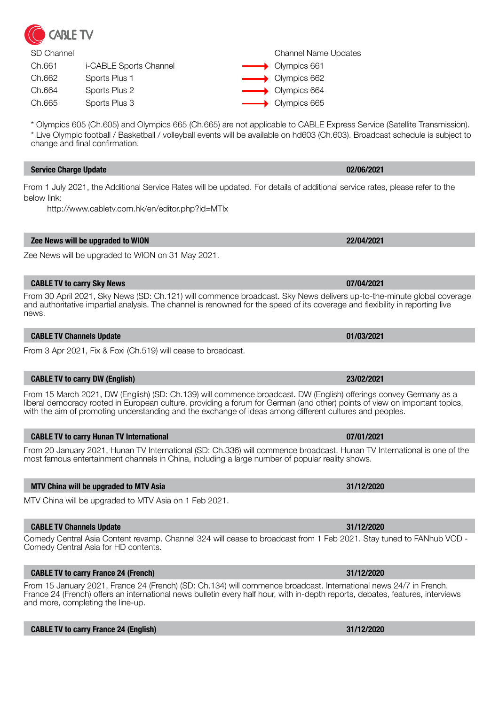

| SD Channel |                        | <b>Channel Name Updates</b>    |
|------------|------------------------|--------------------------------|
| Ch.661     | i-CABLE Sports Channel | $\longrightarrow$ Olympics 661 |
| Ch.662     | Sports Plus 1          | $\longrightarrow$ Olympics 662 |
| Ch.664     | Sports Plus 2          | $\longrightarrow$ Olympics 664 |
| Ch.665     | Sports Plus 3          | $\longrightarrow$ Olympics 665 |

\* Olympics 605 (Ch.605) and Olympics 665 (Ch.665) are not applicable to CABLE Express Service (Satellite Transmission). \* Live Olympic football / Basketball / volleyball events will be available on hd603 (Ch.603). Broadcast schedule is subject to change and final confirmation.

# **Service Charge Update 02/06/2021**

From 1 July 2021, the Additional Service Rates will be updated. For details of additional service rates, please refer to the below link:

http://www.cabletv.com.hk/en/editor.php?id=MTIx

# **Zee News will be upgraded to WION 22/04/2021**

Zee News will be upgraded to WION on 31 May 2021.

# **CABLE TV to carry Sky News 07/04/2021**

From 30 April 2021, Sky News (SD: Ch.121) will commence broadcast. Sky News delivers up-to-the-minute global coverage and authoritative impartial analysis. The channel is renowned for the speed of its coverage and flexibility in reporting live news.

# **CABLE TV Channels Update 01/03/2021**

From 3 Apr 2021, Fix & Foxi (Ch.519) will cease to broadcast.

# **CABLE TV to carry DW (English) 23/02/2021**

From 15 March 2021, DW (English) (SD: Ch.139) will commence broadcast. DW (English) offerings convey Germany as a liberal democracy rooted in European culture, providing a forum for German (and other) points of view on important topics, with the aim of promoting understanding and the exchange of ideas among different cultures and peoples.

# **CABLE TV to carry Hunan TV International 07/01/2021**

From 20 January 2021, Hunan TV International (SD: Ch.336) will commence broadcast. Hunan TV International is one of the most famous entertainment channels in China, including a large number of popular reality shows.

# **MTV China will be upgraded to MTV Asia 31/12/2020**

MTV China will be upgraded to MTV Asia on 1 Feb 2021.

### **CABLE TV Channels Update 31/12/2020**

Comedy Central Asia Content revamp. Channel 324 will cease to broadcast from 1 Feb 2021. Stay tuned to FANhub VOD - Comedy Central Asia for HD contents.

# **CABLE TV to carry France 24 (French) 31/12/2020**

From 15 January 2021, France 24 (French) (SD: Ch.134) will commence broadcast. International news 24/7 in French. France 24 (French) offers an international news bulletin every half hour, with in-depth reports, debates, features, interviews and more, completing the line-up.

### **CABLE TV to carry France 24 (English) 31/12/2020**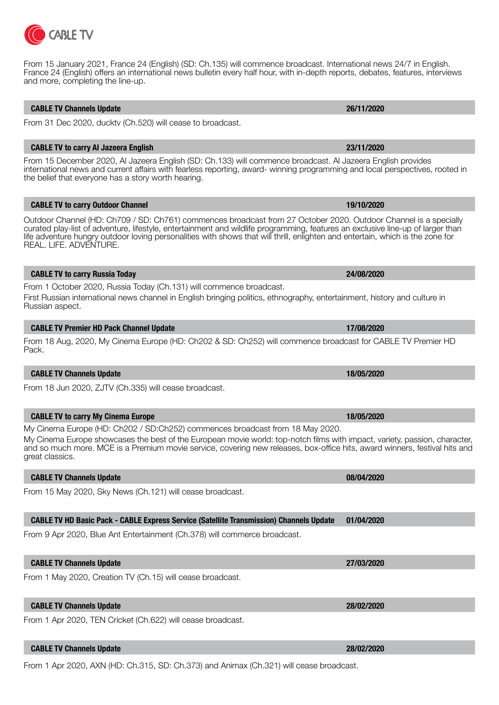# **CABLE TV Channels Update 26/11/2020**

and more, completing the line-up.

From 31 Dec 2020, ducktv (Ch.520) will cease to broadcast.

# **CABLE TV to carry Al Jazeera English 23/11/2020**

From 15 December 2020, Al Jazeera English (SD: Ch.133) will commence broadcast. Al Jazeera English provides international news and current affairs with fearless reporting, award- winning programming and local perspectives, rooted in the belief that everyone has a story worth hearing.

From 15 January 2021, France 24 (English) (SD: Ch.135) will commence broadcast. International news 24/7 in English. France 24 (English) offers an international news bulletin every half hour, with in-depth reports, debates, features, interviews

# **CABLE TV to carry Outdoor Channel 19/10/2020**

Outdoor Channel (HD: Ch709 / SD: Ch761) commences broadcast from 27 October 2020. Outdoor Channel is a specially curated play-list of adventure, lifestyle, entertainment and wildlife programming, features an exclusive line-up of larger than life adventure hungry outdoor loving personalities with shows that will thrill, enlighten and entertain, which is the zone for REAL. LIFE. ADVENTURE.

# **CABLE TV to carry Russia Today 24/08/2020**

From 1 October 2020, Russia Today (Ch.131) will commence broadcast. First Russian international news channel in English bringing politics, ethnography, entertainment, history and culture in Russian aspect.

# **CABLE TV Premier HD Pack Channel Update 17/08/2020**

From 18 Aug, 2020, My Cinema Europe (HD: Ch202 & SD: Ch252) will commence broadcast for CABLE TV Premier HD Pack.

# **CABLE TV Channels Update 18/05/2020**

From 18 Jun 2020, ZJTV (Ch.335) will cease broadcast.

# **CABLE TV to carry My Cinema Europe 18/05/2020**

My Cinema Europe (HD: Ch202 / SD:Ch252) commences broadcast from 18 May 2020. My Cinema Europe showcases the best of the European movie world: top-notch films with impact, variety, passion, character, and so much more. MCE is a Premium movie service, covering new releases, box-office hits, award winners, festival hits and

# **CABLE TV Channels Update 08/04/2020**

great classics.

From 15 May 2020, Sky News (Ch.121) will cease broadcast.

# **CABLE TV HD Basic Pack - CABLE Express Service (Satellite Transmission) Channels Update 01/04/2020**

From 9 Apr 2020, Blue Ant Entertainment (Ch.378) will commerce broadcast.

# **CABLE TV Channels Update 27/03/2020**

From 1 May 2020, Creation TV (Ch.15) will cease broadcast.

# **CABLE TV Channels Update 28/02/2020**

From 1 Apr 2020, TEN Cricket (Ch.622) will cease broadcast.

# **CABLE TV Channels Update 28/02/2020**

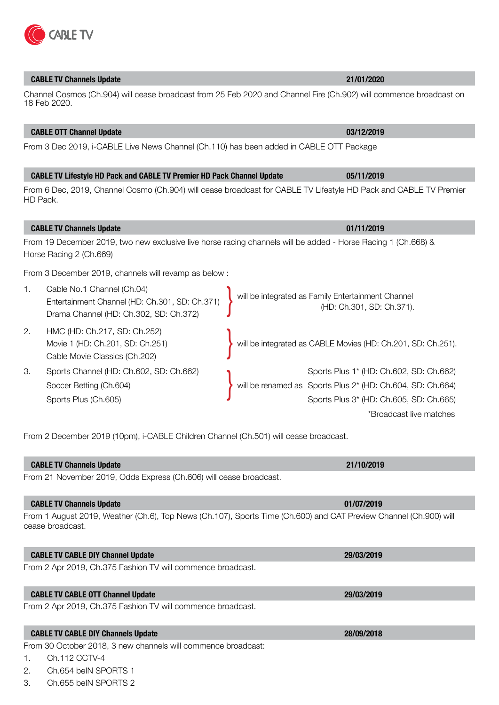# **CABLE TV Channels Update 21/01/2020**

# Channel Cosmos (Ch.904) will cease broadcast from 25 Feb 2020 and Channel Fire (Ch.902) will commence broadcast on 18 Feb 2020.

# **CABLE OTT Channel Update 03/12/2019**

From 3 Dec 2019, i-CABLE Live News Channel (Ch.110) has been added in CABLE OTT Package

**CABLE TV Lifestyle HD Pack and CABLE TV Premier HD Pack Channel Update 05/11/2019** From 6 Dec, 2019, Channel Cosmo (Ch.904) will cease broadcast for CABLE TV Lifestyle HD Pack and CABLE TV Premier HD Pack.

# From 19 December 2019, two new exclusive live horse racing channels will be added - Horse Racing 1 (Ch.668) & Horse Racing 2 (Ch.669)

From 3 December 2019, channels will revamp as below :

- 1. Cable No.1 Channel (Ch.04) Entertainment Channel (HD: Ch.301, SD: Ch.371) Entertainment Channel (HD: Ch.301, SD: Ch.371)<br>Drama Channel (HD: Ch.302, SD: Ch.372)<br>Drama Channel (HD: Ch.302, SD: Ch.372) (HD: Ch.301, SD: Ch.371). 2. HMC (HD: Ch.217, SD: Ch.252) Movie 1 (HD: Ch.201, SD: Ch.251) Movie 1 (HD: Ch.201, SD: Ch.251) <br>Cable Movie Classics (Ch.202) <br>Cable Movie Classics (Ch.202)
- 

From 2 December 2019 (10pm), i-CABLE Children Channel (Ch.501) will cease broadcast.

**CABLE TV Channels Update 21/10/2019**

| From 21 November 2019, Odds Express (Ch.606) will cease broadcast. |  |
|--------------------------------------------------------------------|--|

# **CABLE TV Channels Update 01/07/2019**

From 1 August 2019, Weather (Ch.6), Top News (Ch.107), Sports Time (Ch.600) and CAT Preview Channel (Ch.900) will cease broadcast.

# **CABLE TV CABLE DIY Channel Update 29/03/2019**

From 2 Apr 2019, Ch.375 Fashion TV will commence broadcast.

# **CABLE TV CABLE OTT Channel Update 29/03/2019**

From 2 Apr 2019, Ch.375 Fashion TV will commence broadcast.

# **CABLE TV CABLE DIY Channels Update 28/09/2018**

From 30 October 2018, 3 new channels will commence broadcast:

- 1. Ch.112 CCTV-4
- 2. Ch.654 beIN SPORTS 1
- 3. Ch.655 beIN SPORTS 2



3. Sports Channel (HD: Ch.602, SD: Ch.662)<br>Soccer Betting (Ch.604) <sup>3.</sup> Sports Plus 2\* (HD: Ch.604, SD: Ch.664)<br>Sports Plus (Ch.605) {\be renamed as Sports Plus 2\* (HD: Ch.604, SD: Ch.664) Soccer Betting (Ch.604) **Will be renamed as Sports Plus 2<sup>\*</sup> (HD: Ch.604, SD: Ch.664**) Sports Plus (Ch.605) Sports Plus 3\* (HD: Ch.605, SD: Ch.665) \*Broadcast live matches

**CABLE TV Channels Update 01/11/2019**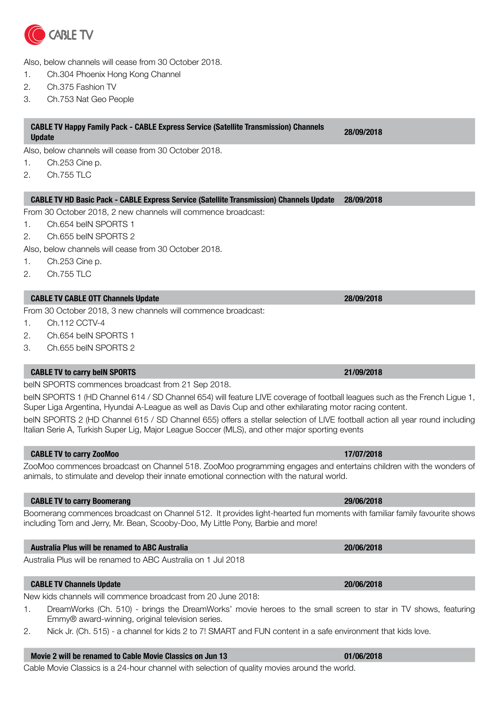

Also, below channels will cease from 30 October 2018.

- 1. Ch.304 Phoenix Hong Kong Channel
- 2. Ch.375 Fashion TV
- 3. Ch.753 Nat Geo People

# **CABLE TV Happy Family Pack - CABLE Express Service (Satellite Transmission) Channels Update 28/09/2018**

Also, below channels will cease from 30 October 2018.

- 1. Ch.253 Cine p.
- 2. Ch.755 TLC

### **CABLE TV HD Basic Pack - CABLE Express Service (Satellite Transmission) Channels Update 28/09/2018**

From 30 October 2018, 2 new channels will commence broadcast:

- 1. Ch.654 beIN SPORTS 1
- 2. Ch.655 beIN SPORTS 2
- Also, below channels will cease from 30 October 2018.
- 1. Ch.253 Cine p.
- 2. Ch.755 TLC

### **CABLE TV CABLE OTT Channels Update 28/09/2018**

From 30 October 2018, 3 new channels will commence broadcast:

- 1. Ch.112 CCTV-4
- 2. Ch.654 beIN SPORTS 1
- 3. Ch.655 beIN SPORTS 2

### **CABLE TV to carry beIN SPORTS 21/09/2018**

beIN SPORTS commences broadcast from 21 Sep 2018.

beIN SPORTS 1 (HD Channel 614 / SD Channel 654) will feature LIVE coverage of football leagues such as the French Ligue 1, Super Liga Argentina, Hyundai A-League as well as Davis Cup and other exhilarating motor racing content.

beIN SPORTS 2 (HD Channel 615 / SD Channel 655) offers a stellar selection of LIVE football action all year round including Italian Serie A, Turkish Super Lig, Major League Soccer (MLS), and other major sporting events

### **CABLE TV to carry ZooMoo 17/07/2018**

ZooMoo commences broadcast on Channel 518. ZooMoo programming engages and entertains children with the wonders of animals, to stimulate and develop their innate emotional connection with the natural world.

### **CABLE TV to carry Boomerang 29/06/2018**

Boomerang commences broadcast on Channel 512. It provides light-hearted fun moments with familiar family favourite shows including Tom and Jerry, Mr. Bean, Scooby-Doo, My Little Pony, Barbie and more!

### **Australia Plus will be renamed to ABC Australia 20/06/2018**

Australia Plus will be renamed to ABC Australia on 1 Jul 2018

### **CABLE TV Channels Update 20/06/2018**

New kids channels will commence broadcast from 20 June 2018:

- 1. DreamWorks (Ch. 510) brings the DreamWorks' movie heroes to the small screen to star in TV shows, featuring Emmy® award-winning, original television series.
- 2. Nick Jr. (Ch. 515) a channel for kids 2 to 7! SMART and FUN content in a safe environment that kids love.

### **Movie 2 will be renamed to Cable Movie Classics on Jun 13 01/06/2018**

Cable Movie Classics is a 24-hour channel with selection of quality movies around the world.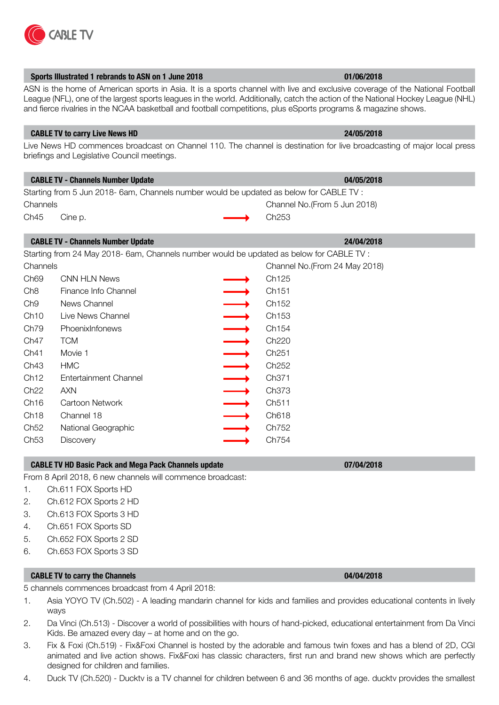

|                  | Sports Illustrated 1 rebrands to ASN on 1 June 2018                                      |                          | 01/06/2018                                                                                                                                                                                                                                                                                                                                                                         |
|------------------|------------------------------------------------------------------------------------------|--------------------------|------------------------------------------------------------------------------------------------------------------------------------------------------------------------------------------------------------------------------------------------------------------------------------------------------------------------------------------------------------------------------------|
|                  |                                                                                          |                          | ASN is the home of American sports in Asia. It is a sports channel with live and exclusive coverage of the National Football<br>League (NFL), one of the largest sports leagues in the world. Additionally, catch the action of the National Hockey League (NHL)<br>and fierce rivalries in the NCAA basketball and football competitions, plus eSports programs & magazine shows. |
|                  | <b>CABLE TV to carry Live News HD</b>                                                    |                          | 24/05/2018                                                                                                                                                                                                                                                                                                                                                                         |
|                  | briefings and Legislative Council meetings.                                              |                          | Live News HD commences broadcast on Channel 110. The channel is destination for live broadcasting of major local press                                                                                                                                                                                                                                                             |
|                  | <b>CABLE TV - Channels Number Update</b>                                                 |                          | 04/05/2018                                                                                                                                                                                                                                                                                                                                                                         |
|                  | Starting from 5 Jun 2018- 6am, Channels number would be updated as below for CABLE TV :  |                          |                                                                                                                                                                                                                                                                                                                                                                                    |
| Channels         |                                                                                          |                          | Channel No.(From 5 Jun 2018)                                                                                                                                                                                                                                                                                                                                                       |
| Ch45             | Cine p.                                                                                  |                          | Ch253                                                                                                                                                                                                                                                                                                                                                                              |
|                  | <b>CABLE TV - Channels Number Update</b>                                                 |                          | 24/04/2018                                                                                                                                                                                                                                                                                                                                                                         |
|                  | Starting from 24 May 2018- 6am, Channels number would be updated as below for CABLE TV : |                          |                                                                                                                                                                                                                                                                                                                                                                                    |
| Channels         |                                                                                          |                          | Channel No.(From 24 May 2018)                                                                                                                                                                                                                                                                                                                                                      |
| Ch69             | <b>CNN HLN News</b>                                                                      |                          | Ch125                                                                                                                                                                                                                                                                                                                                                                              |
| Ch8              | Finance Info Channel                                                                     | $\overrightarrow{ }$     | Ch151                                                                                                                                                                                                                                                                                                                                                                              |
| Ch9              | News Channel                                                                             |                          | Ch152                                                                                                                                                                                                                                                                                                                                                                              |
| Ch10             | Live News Channel                                                                        | $\longrightarrow$        | Ch153                                                                                                                                                                                                                                                                                                                                                                              |
| Ch79             | PhoenixInfonews                                                                          | $\longrightarrow$        | Ch154                                                                                                                                                                                                                                                                                                                                                                              |
| Ch47             | <b>TCM</b>                                                                               | $\frac{1}{\sqrt{1}}$     | Ch220                                                                                                                                                                                                                                                                                                                                                                              |
| Ch41             | Movie 1                                                                                  |                          | Ch <sub>251</sub>                                                                                                                                                                                                                                                                                                                                                                  |
| Ch43             | <b>HMC</b>                                                                               |                          | Ch <sub>252</sub>                                                                                                                                                                                                                                                                                                                                                                  |
| Ch12             | <b>Entertainment Channel</b>                                                             | $\rightarrow$            | Ch <sub>371</sub>                                                                                                                                                                                                                                                                                                                                                                  |
| Ch <sub>22</sub> | <b>AXN</b>                                                                               | $\overline{\phantom{0}}$ | Ch373                                                                                                                                                                                                                                                                                                                                                                              |
| Ch16             | Cartoon Network                                                                          |                          | Ch511                                                                                                                                                                                                                                                                                                                                                                              |
| Ch18             | Channel 18                                                                               | $\longrightarrow$        | Ch618                                                                                                                                                                                                                                                                                                                                                                              |
| Ch52             | National Geographic                                                                      |                          | Ch752                                                                                                                                                                                                                                                                                                                                                                              |
| Ch53             | <b>Discovery</b>                                                                         |                          | Ch754                                                                                                                                                                                                                                                                                                                                                                              |
|                  | <b>CABLE TV HD Basic Pack and Mega Pack Channels update</b>                              |                          | 07/04/2018                                                                                                                                                                                                                                                                                                                                                                         |
|                  | From 8 April 2018, 6 new channels will commence broadcast:                               |                          |                                                                                                                                                                                                                                                                                                                                                                                    |
| 1.               | Ch.611 FOX Sports HD                                                                     |                          |                                                                                                                                                                                                                                                                                                                                                                                    |
| 2.               | Ch.612 FOX Sports 2 HD                                                                   |                          |                                                                                                                                                                                                                                                                                                                                                                                    |
| З.               | Ch.613 FOX Sports 3 HD                                                                   |                          |                                                                                                                                                                                                                                                                                                                                                                                    |
| 4.               | Ch.651 FOX Sports SD                                                                     |                          |                                                                                                                                                                                                                                                                                                                                                                                    |
| 5.               | Ch.652 FOX Sports 2 SD                                                                   |                          |                                                                                                                                                                                                                                                                                                                                                                                    |
| 6.               | Ch.653 FOX Sports 3 SD                                                                   |                          |                                                                                                                                                                                                                                                                                                                                                                                    |
|                  | <b>CABLE TV to carry the Channels</b>                                                    |                          | 04/04/2018                                                                                                                                                                                                                                                                                                                                                                         |
|                  |                                                                                          |                          |                                                                                                                                                                                                                                                                                                                                                                                    |

5 channels commences broadcast from 4 April 2018:

- 1. Asia YOYO TV (Ch.502) A leading mandarin channel for kids and families and provides educational contents in lively ways
- 2. Da Vinci (Ch.513) Discover a world of possibilities with hours of hand-picked, educational entertainment from Da Vinci Kids. Be amazed every day – at home and on the go.
- 3. Fix & Foxi (Ch.519) Fix&Foxi Channel is hosted by the adorable and famous twin foxes and has a blend of 2D, CGI animated and live action shows. Fix&Foxi has classic characters, first run and brand new shows which are perfectly designed for children and families.
- 4. Duck TV (Ch.520) Ducktv is a TV channel for children between 6 and 36 months of age. ducktv provides the smallest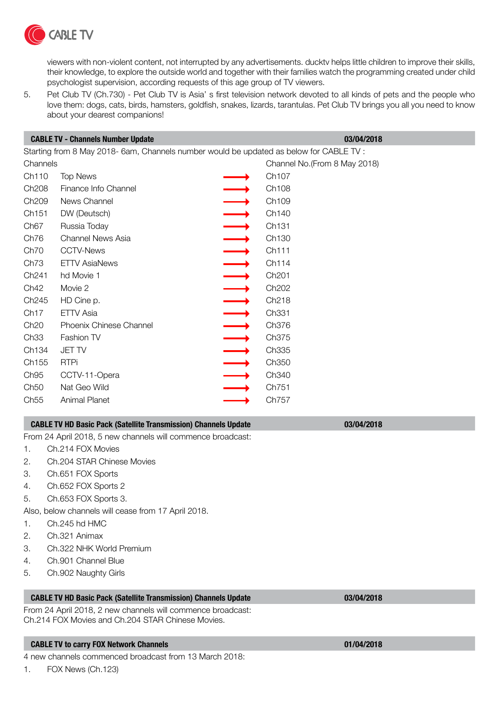

viewers with non-violent content, not interrupted by any advertisements. ducktv helps little children to improve their skills, their knowledge, to explore the outside world and together with their families watch the programming created under child psychologist supervision, according requests of this age group of TV viewers.

5. Pet Club TV (Ch.730) - Pet Club TV is Asia' s first television network devoted to all kinds of pets and the people who love them: dogs, cats, birds, hamsters, goldfish, snakes, lizards, tarantulas. Pet Club TV brings you all you need to know about your dearest companions!

|                                                                                         | <b>CABLE TV - Channels Number Update</b> | 03/04/2018 |                               |
|-----------------------------------------------------------------------------------------|------------------------------------------|------------|-------------------------------|
| Starting from 8 May 2018- 6am, Channels number would be updated as below for CABLE TV : |                                          |            |                               |
| Channels                                                                                |                                          |            | Channel No. (From 8 May 2018) |
| Ch110                                                                                   | <b>Top News</b>                          |            | Ch <sub>107</sub>             |
| Ch <sub>208</sub>                                                                       | Finance Info Channel                     |            | Ch <sub>108</sub>             |
| Ch <sub>209</sub>                                                                       | News Channel                             |            | Ch <sub>109</sub>             |
| Ch151                                                                                   | DW (Deutsch)                             |            | Ch140                         |
| Ch <sub>67</sub>                                                                        | Russia Today                             |            | Ch131                         |
| Ch76                                                                                    | Channel News Asia                        |            | Ch <sub>130</sub>             |
| Ch <sub>70</sub>                                                                        | <b>CCTV-News</b>                         |            | Ch111                         |
| Ch73                                                                                    | <b>ETTV AsiaNews</b>                     |            | Ch114                         |
| Ch <sub>241</sub>                                                                       | hd Movie 1                               |            | Ch <sub>201</sub>             |
| Ch42                                                                                    | Movie 2                                  |            | Ch <sub>202</sub>             |
| Ch <sub>245</sub>                                                                       | HD Cine p.                               |            | Ch <sub>218</sub>             |
| Ch <sub>17</sub>                                                                        | ETTV Asia                                |            | Ch <sub>331</sub>             |
| Ch20                                                                                    | <b>Phoenix Chinese Channel</b>           |            | Ch376                         |
| Ch33                                                                                    | <b>Fashion TV</b>                        |            | Ch375                         |
| Ch <sub>134</sub>                                                                       | <b>JET TV</b>                            |            | Ch335                         |
| Ch155                                                                                   | <b>RTPi</b>                              |            | Ch350                         |
| Ch <sub>95</sub>                                                                        | CCTV-11-Opera                            |            | Ch <sub>340</sub>             |
| Ch50                                                                                    | Nat Geo Wild                             |            | Ch751                         |
| Ch55                                                                                    | <b>Animal Planet</b>                     |            | Ch757                         |
|                                                                                         |                                          |            |                               |

# **CABLE TV HD Basic Pack (Satellite Transmission) Channels Update 03/04/2018**

From 24 April 2018, 5 new channels will commence broadcast:

- 1. Ch.214 FOX Movies
- 2. Ch.204 STAR Chinese Movies
- 3. Ch.651 FOX Sports
- 4. Ch.652 FOX Sports 2
- 5. Ch.653 FOX Sports 3.

Also, below channels will cease from 17 April 2018.

- 1. Ch.245 hd HMC
- 2. Ch.321 Animax
- 3. Ch.322 NHK World Premium
- 4. Ch.901 Channel Blue
- 5. Ch.902 Naughty Girls

# **CABLE TV HD Basic Pack (Satellite Transmission) Channels Update 03/04/2018**

From 24 April 2018, 2 new channels will commence broadcast: Ch.214 FOX Movies and Ch.204 STAR Chinese Movies.

# **CABLE TV to carry FOX Network Channels 01/04/2018**

4 new channels commenced broadcast from 13 March 2018: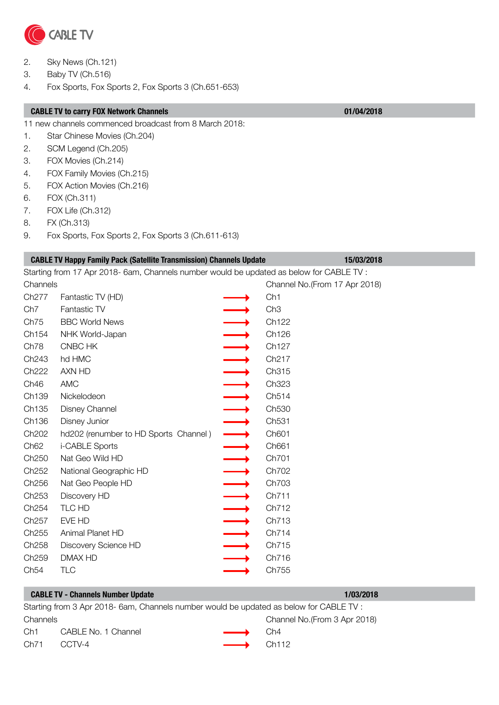

- 2. Sky News (Ch.121)
- 3. Baby TV (Ch.516)
- 4. Fox Sports, Fox Sports 2, Fox Sports 3 (Ch.651-653)

### **CABLE TV to carry FOX Network Channels 01/04/2018**

11 new channels commenced broadcast from 8 March 2018:

- 1. Star Chinese Movies (Ch.204)
- 2. SCM Legend (Ch.205)
- 3. FOX Movies (Ch.214)
- 4. FOX Family Movies (Ch.215)
- 5. FOX Action Movies (Ch.216)
- 6. FOX (Ch.311)
- 7. FOX Life (Ch.312)
- 8. FX (Ch.313)
- 9. Fox Sports, Fox Sports 2, Fox Sports 3 (Ch.611-613)

|                   | <b>CABLE TV Happy Family Pack (Satellite Transmission) Channels Update</b>               | 15/03/2018                     |
|-------------------|------------------------------------------------------------------------------------------|--------------------------------|
|                   | Starting from 17 Apr 2018- 6am, Channels number would be updated as below for CABLE TV : |                                |
| Channels          |                                                                                          | Channel No. (From 17 Apr 2018) |
| Ch277             | Fantastic TV (HD)                                                                        | Ch1                            |
| Ch <sub>7</sub>   | Fantastic TV                                                                             | Ch3                            |
| Ch75              | <b>BBC World News</b>                                                                    | Ch122                          |
| Ch154             | NHK World-Japan                                                                          | Ch126                          |
| Ch78              | CNBC HK                                                                                  | Ch127                          |
| Ch243             | hd HMC                                                                                   | Ch217                          |
| Ch222             | AXN HD                                                                                   | Ch315                          |
| Ch46              | <b>AMC</b>                                                                               | Ch323                          |
| Ch139             | Nickelodeon                                                                              | Ch514                          |
| Ch135             | <b>Disney Channel</b>                                                                    | Ch530                          |
| Ch136             | Disney Junior                                                                            | Ch531                          |
| Ch202             | hd202 (renumber to HD Sports Channel)                                                    | Ch601                          |
| Ch <sub>62</sub>  | i-CABLE Sports                                                                           | Ch661                          |
| Ch250             | Nat Geo Wild HD                                                                          | Ch701                          |
| Ch252             | National Geographic HD                                                                   | Ch702                          |
| Ch256             | Nat Geo People HD                                                                        | Ch703                          |
| Ch253             | Discovery HD                                                                             | Ch711                          |
| Ch <sub>254</sub> | TLC HD                                                                                   | Ch712                          |
| Ch257             | EVE HD                                                                                   | Ch713                          |
| Ch255             | Animal Planet HD                                                                         | Ch714                          |
| Ch258             | Discovery Science HD                                                                     | Ch715                          |
| Ch259             | <b>DMAX HD</b>                                                                           | Ch716                          |
| Ch54              | <b>TLC</b>                                                                               | Ch755                          |

|          | <b>CABLE TV - Channels Number Update</b>                                                |                         | 1/03/2018                     |
|----------|-----------------------------------------------------------------------------------------|-------------------------|-------------------------------|
|          | Starting from 3 Apr 2018- 6am, Channels number would be updated as below for CABLE TV : |                         |                               |
| Channels |                                                                                         |                         | Channel No. (From 3 Apr 2018) |
| Ch1      | CABLE No. 1 Channel                                                                     | $\longrightarrow$       | Ch4                           |
| Ch71     | CCTV-4                                                                                  | $\longrightarrow$ Ch112 |                               |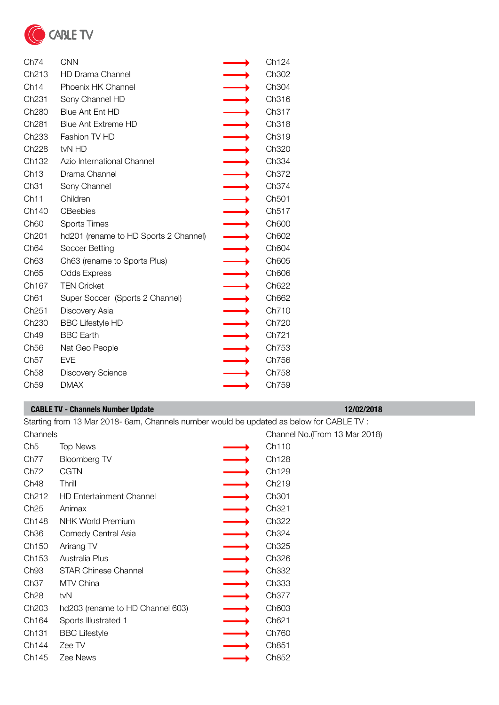

| Ch74              | <b>CNN</b>                            | Ch124             |
|-------------------|---------------------------------------|-------------------|
| Ch <sub>213</sub> | <b>HD Drama Channel</b>               | Ch302             |
| Ch14              | Phoenix HK Channel                    | Ch304             |
| Ch <sub>231</sub> | Sony Channel HD                       | Ch316             |
| Ch <sub>280</sub> | <b>Blue Ant Ent HD</b>                | Ch317             |
| Ch <sub>281</sub> | <b>Blue Ant Extreme HD</b>            | Ch318             |
| Ch <sub>233</sub> | Fashion TV HD                         | Ch319             |
| Ch <sub>228</sub> | tvN HD                                | Ch320             |
| Ch132             | Azio International Channel            | Ch334             |
| Ch13              | Drama Channel                         | Ch372             |
| Ch31              | Sony Channel                          | Ch374             |
| Ch11              | Children                              | Ch501             |
| Ch140             | <b>CBeebies</b>                       | Ch517             |
| Ch <sub>60</sub>  | <b>Sports Times</b>                   | Ch600             |
| Ch <sub>201</sub> | hd201 (rename to HD Sports 2 Channel) | Ch602             |
| Ch <sub>64</sub>  | Soccer Betting                        | Ch604             |
| Ch <sub>63</sub>  | Ch63 (rename to Sports Plus)          | Ch605             |
| Ch <sub>65</sub>  | <b>Odds Express</b>                   | Ch606             |
| Ch167             | <b>TEN Cricket</b>                    | Ch <sub>622</sub> |
| Ch61              | Super Soccer (Sports 2 Channel)       | Ch662             |
| Ch <sub>251</sub> | Discovery Asia                        | Ch710             |
| Ch230             | <b>BBC Lifestyle HD</b>               | Ch720             |
| Ch <sub>49</sub>  | <b>BBC Earth</b>                      | Ch721             |
| Ch <sub>56</sub>  | Nat Geo People                        | Ch753             |
| Ch57              | <b>EVE</b>                            | Ch756             |
| Ch58              | Discovery Science                     | Ch758             |
| Ch59              | <b>DMAX</b>                           | Ch759             |

|                   | <b>CABLE TV - Channels Number Update</b>                                                 | 12/02/2018                     |
|-------------------|------------------------------------------------------------------------------------------|--------------------------------|
|                   | Starting from 13 Mar 2018- 6am, Channels number would be updated as below for CABLE TV : |                                |
| Channels          |                                                                                          | Channel No. (From 13 Mar 2018) |
| Ch <sub>5</sub>   | <b>Top News</b>                                                                          | Ch <sub>110</sub>              |
| Ch77              | Bloomberg TV                                                                             | Ch <sub>128</sub>              |
| Ch72              | CGTN                                                                                     | Ch <sub>129</sub>              |
| Ch <sub>48</sub>  | Thrill                                                                                   | Ch <sub>219</sub>              |
| Ch <sub>212</sub> | <b>HD Entertainment Channel</b>                                                          | Ch <sub>301</sub>              |
| Ch25              | Animax                                                                                   | Ch <sub>321</sub>              |
| Ch148             | <b>NHK World Premium</b>                                                                 | Ch <sub>322</sub>              |
| Ch <sub>36</sub>  | Comedy Central Asia                                                                      | Ch <sub>324</sub>              |
| Ch <sub>150</sub> | Arirang TV                                                                               | Ch325                          |
| Ch <sub>153</sub> | Australia Plus                                                                           | Ch326                          |
| Ch <sub>93</sub>  | STAR Chinese Channel                                                                     | Ch <sub>332</sub>              |
| Ch <sub>37</sub>  | MTV China                                                                                | Ch <sub>333</sub>              |

Ch28 tvN Ch377 Ch203 hd203 (rename to HD Channel 603) Ch603 Ch164 Sports Illustrated 1 Ch621 Ch131 BBC Lifestyle Ch760 Ch144 Zee TV **Changes Changes** Ch851 Ch145 Zee News **Changes Character Changes** Ch852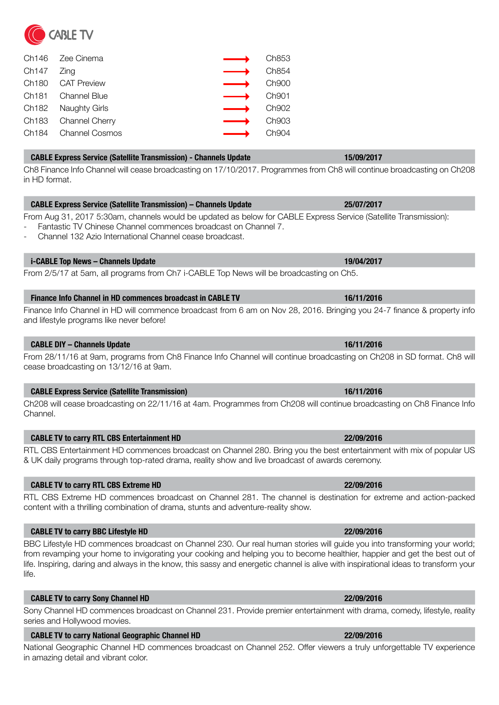|                        | Ch146 Zee Cinema                 |                   | Ch853             |
|------------------------|----------------------------------|-------------------|-------------------|
| Ch <sub>147</sub> Zing |                                  |                   | Ch854             |
|                        | Ch180 CAT Preview                |                   | Ch900             |
|                        | Ch <sub>181</sub> Channel Blue   |                   | Ch <sub>901</sub> |
|                        | Ch182 Naughty Girls              | $\longrightarrow$ | Ch902             |
|                        | Ch183 Channel Cherry             |                   | Ch903             |
|                        | Ch <sub>184</sub> Channel Cosmos |                   | Ch <sub>904</sub> |
|                        |                                  |                   |                   |

# **CABLE Express Service (Satellite Transmission) - Channels Update 15/09/2017**

Ch8 Finance Info Channel will cease broadcasting on 17/10/2017. Programmes from Ch8 will continue broadcasting on Ch208 in HD format.

# **CABLE Express Service (Satellite Transmission) – Channels Update 25/07/2017**

From Aug 31, 2017 5:30am, channels would be updated as below for CABLE Express Service (Satellite Transmission):

- Fantastic TV Chinese Channel commences broadcast on Channel 7. - Channel 132 Azio International Channel cease broadcast.

# **i-CABLE Top News – Channels Update 19/04/2017**

From 2/5/17 at 5am, all programs from Ch7 i-CABLE Top News will be broadcasting on Ch5.

# **Finance Info Channel in HD commences broadcast in CABLE TV 16/11/2016**

Finance Info Channel in HD will commence broadcast from 6 am on Nov 28, 2016. Bringing you 24-7 finance & property info and lifestyle programs like never before!

### **CABLE DIY – Channels Update 16/11/2016**

From 28/11/16 at 9am, programs from Ch8 Finance Info Channel will continue broadcasting on Ch208 in SD format. Ch8 will cease broadcasting on 13/12/16 at 9am.

### **CABLE Express Service (Satellite Transmission) 16/11/2016**

Ch208 will cease broadcasting on 22/11/16 at 4am. Programmes from Ch208 will continue broadcasting on Ch8 Finance Info Channel.

# **CABLE TV to carry RTL CBS Entertainment HD 22/09/2016**

RTL CBS Entertainment HD commences broadcast on Channel 280. Bring you the best entertainment with mix of popular US & UK daily programs through top-rated drama, reality show and live broadcast of awards ceremony.

### **CABLE TV to carry RTL CBS Extreme HD 22/09/2016**

RTL CBS Extreme HD commences broadcast on Channel 281. The channel is destination for extreme and action-packed content with a thrilling combination of drama, stunts and adventure-reality show.

### **CABLE TV to carry BBC Lifestyle HD 22/09/2016**

BBC Lifestyle HD commences broadcast on Channel 230. Our real human stories will guide you into transforming your world; from revamping your home to invigorating your cooking and helping you to become healthier, happier and get the best out of life. Inspiring, daring and always in the know, this sassy and energetic channel is alive with inspirational ideas to transform your life.

### **CABLE TV to carry Sony Channel HD 22/09/2016**

Sony Channel HD commences broadcast on Channel 231. Provide premier entertainment with drama, comedy, lifestyle, reality series and Hollywood movies.

### **CABLE TV to carry National Geographic Channel HD 22/09/2016**

National Geographic Channel HD commences broadcast on Channel 252. Offer viewers a truly unforgettable TV experience in amazing detail and vibrant color.

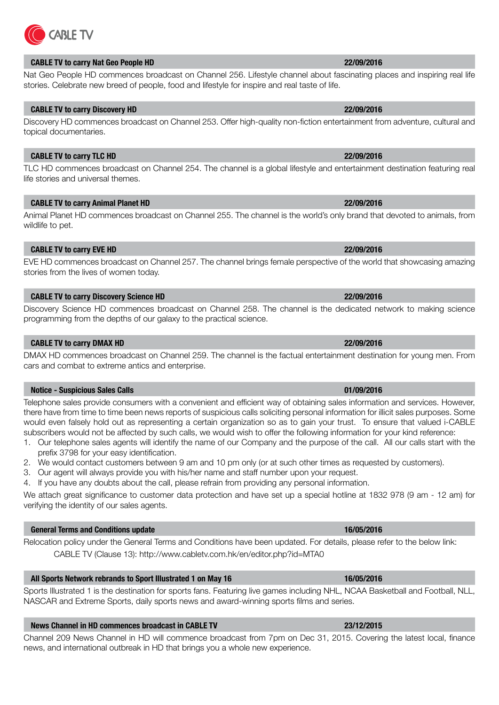# **CABLE TV to carry Nat Geo People HD 22/09/2016**

Nat Geo People HD commences broadcast on Channel 256. Lifestyle channel about fascinating places and inspiring real life stories. Celebrate new breed of people, food and lifestyle for inspire and real taste of life.

# **CABLE TV to carry Discovery HD 22/09/2016**

Discovery HD commences broadcast on Channel 253. Offer high-quality non-fiction entertainment from adventure, cultural and topical documentaries.

### **CABLE TV to carry TLC HD 22/09/2016**

TLC HD commences broadcast on Channel 254. The channel is a global lifestyle and entertainment destination featuring real life stories and universal themes.

### **CABLE TV to carry Animal Planet HD 22/09/2016**

Animal Planet HD commences broadcast on Channel 255. The channel is the world's only brand that devoted to animals, from wildlife to pet.

# **CABLE TV to carry EVE HD 22/09/2016**

EVE HD commences broadcast on Channel 257. The channel brings female perspective of the world that showcasing amazing stories from the lives of women today.

### **CABLE TV to carry Discovery Science HD 22/09/2016**

Discovery Science HD commences broadcast on Channel 258. The channel is the dedicated network to making science programming from the depths of our galaxy to the practical science.

# **CABLE TV to carry DMAX HD 22/09/2016**

DMAX HD commences broadcast on Channel 259. The channel is the factual entertainment destination for young men. From cars and combat to extreme antics and enterprise.

### **Notice - Suspicious Sales Calls 01/09/2016**

Telephone sales provide consumers with a convenient and efficient way of obtaining sales information and services. However, there have from time to time been news reports of suspicious calls soliciting personal information for illicit sales purposes. Some would even falsely hold out as representing a certain organization so as to gain your trust. To ensure that valued i-CABLE subscribers would not be affected by such calls, we would wish to offer the following information for your kind reference:

- 1. Our telephone sales agents will identify the name of our Company and the purpose of the call. All our calls start with the prefix 3798 for your easy identification.
- 2. We would contact customers between 9 am and 10 pm only (or at such other times as requested by customers).
- 3. Our agent will always provide you with his/her name and staff number upon your request.
- 4. If you have any doubts about the call, please refrain from providing any personal information.

We attach great significance to customer data protection and have set up a special hotline at 1832 978 (9 am - 12 am) for verifying the identity of our sales agents.

### **General Terms and Conditions update 16/05/2016**

Relocation policy under the General Terms and Conditions have been updated. For details, please refer to the below link: CABLE TV (Clause 13): http://www.cabletv.com.hk/en/editor.php?id=MTA0

### **All Sports Network rebrands to Sport Illustrated 1 on May 16 16/05/2016**

Sports Illustrated 1 is the destination for sports fans. Featuring live games including NHL, NCAA Basketball and Football, NLL, NASCAR and Extreme Sports, daily sports news and award-winning sports films and series.

### **News Channel in HD commences broadcast in CABLE TV <b>23/12/2015 23/12/2015**

Channel 209 News Channel in HD will commence broadcast from 7pm on Dec 31, 2015. Covering the latest local, finance news, and international outbreak in HD that brings you a whole new experience.



# **CABLE TV**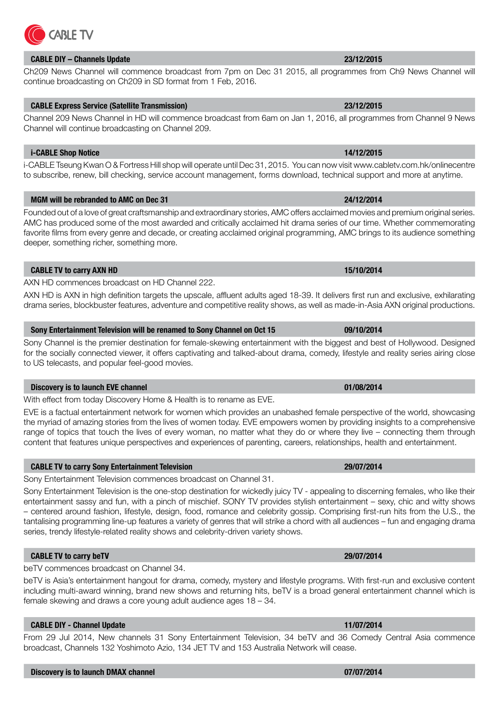# **CABLE DIY – Channels Update 23/12/2015**

Ch209 News Channel will commence broadcast from 7pm on Dec 31 2015, all programmes from Ch9 News Channel will continue broadcasting on Ch209 in SD format from 1 Feb, 2016.

# **CABLE Express Service (Satellite Transmission) 23/12/2015**

Channel 209 News Channel in HD will commence broadcast from 6am on Jan 1, 2016, all programmes from Channel 9 News Channel will continue broadcasting on Channel 209.

### **i-CABLE Shop Notice 14/12/2015**

i-CABLE Tseung Kwan O & Fortress Hill shop will operate until Dec 31, 2015. You can now visit www.cabletv.com.hk/onlinecentre to subscribe, renew, bill checking, service account management, forms download, technical support and more at anytime.

### **MGM will be rebranded to AMC on Dec 31 24/12/2014**

Founded out of a love of great craftsmanship and extraordinary stories, AMC offers acclaimed movies and premium original series. AMC has produced some of the most awarded and critically acclaimed hit drama series of our time. Whether commemorating favorite films from every genre and decade, or creating acclaimed original programming, AMC brings to its audience something deeper, something richer, something more.

# **CABLE TV to carry AXN HD 15/10/2014**

AXN HD commences broadcast on HD Channel 222.

AXN HD is AXN in high definition targets the upscale, affluent adults aged 18-39. It delivers first run and exclusive, exhilarating drama series, blockbuster features, adventure and competitive reality shows, as well as made-in-Asia AXN original productions.

### **Sony Entertainment Television will be renamed to Sony Channel on Oct 15 09/10/2014**

Sony Channel is the premier destination for female-skewing entertainment with the biggest and best of Hollywood. Designed for the socially connected viewer, it offers captivating and talked-about drama, comedy, lifestyle and reality series airing close to US telecasts, and popular feel-good movies.

### **Discovery is to launch EVE channel 01/08/2014**

With effect from today Discovery Home & Health is to rename as EVE.

EVE is a factual entertainment network for women which provides an unabashed female perspective of the world, showcasing the myriad of amazing stories from the lives of women today. EVE empowers women by providing insights to a comprehensive range of topics that touch the lives of every woman, no matter what they do or where they live – connecting them through content that features unique perspectives and experiences of parenting, careers, relationships, health and entertainment.

### **CABLE TV to carry Sony Entertainment Television 29/07/2014**

Sony Entertainment Television commences broadcast on Channel 31.

Sony Entertainment Television is the one-stop destination for wickedly juicy TV - appealing to discerning females, who like their entertainment sassy and fun, with a pinch of mischief. SONY TV provides stylish entertainment – sexy, chic and witty shows – centered around fashion, lifestyle, design, food, romance and celebrity gossip. Comprising first-run hits from the U.S., the tantalising programming line-up features a variety of genres that will strike a chord with all audiences – fun and engaging drama series, trendy lifestyle-related reality shows and celebrity-driven variety shows.

### **CABLE TV to carry beTV 29/07/2014**

beTV commences broadcast on Channel 34.

beTV is Asia's entertainment hangout for drama, comedy, mystery and lifestyle programs. With first-run and exclusive content including multi-award winning, brand new shows and returning hits, beTV is a broad general entertainment channel which is female skewing and draws a core young adult audience ages 18 – 34.

### **CABLE DIY - Channel Update 11/07/2014**

From 29 Jul 2014, New channels 31 Sony Entertainment Television, 34 beTV and 36 Comedy Central Asia commence broadcast, Channels 132 Yoshimoto Azio, 134 JET TV and 153 Australia Network will cease.

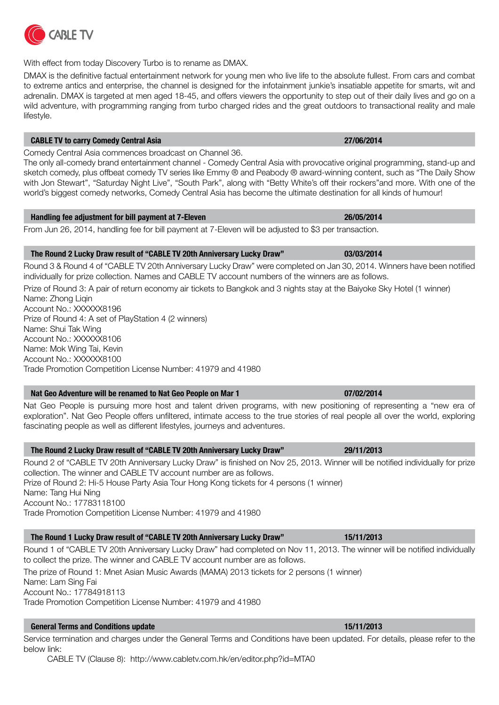| Handling fee adjustment for bill payment at 7-Eleven | 26/05/2014 |
|------------------------------------------------------|------------|
|                                                      |            |

From Jun 26, 2014, handling fee for bill payment at 7-Eleven will be adjusted to \$3 per transaction.

### **The Round 2 Lucky Draw result of "CABLE TV 20th Anniversary Lucky Draw" 03/03/2014**

Round 3 & Round 4 of "CABLE TV 20th Anniversary Lucky Draw" were completed on Jan 30, 2014. Winners have been notified individually for prize collection. Names and CABLE TV account numbers of the winners are as follows.

Prize of Round 3: A pair of return economy air tickets to Bangkok and 3 nights stay at the Baiyoke Sky Hotel (1 winner) Name: Zhong Ligin

Account No.: XXXXXX8196 Prize of Round 4: A set of PlayStation 4 (2 winners) Name: Shui Tak Wing Account No.: XXXXXX8106 Name: Mok Wing Tai, Kevin Account No.: XXXXXX8100 Trade Promotion Competition License Number: 41979 and 41980

### **Nat Geo Adventure will be renamed to Nat Geo People on Mar 1 07/02/2014**

Nat Geo People is pursuing more host and talent driven programs, with new positioning of representing a "new era of exploration". Nat Geo People offers unfiltered, intimate access to the true stories of real people all over the world, exploring fascinating people as well as different lifestyles, journeys and adventures.

### **The Round 2 Lucky Draw result of "CABLE TV 20th Anniversary Lucky Draw" 29/11/2013**

Round 2 of "CABLE TV 20th Anniversary Lucky Draw" is finished on Nov 25, 2013. Winner will be notified individually for prize collection. The winner and CABLE TV account number are as follows. Prize of Round 2: Hi-5 House Party Asia Tour Hong Kong tickets for 4 persons (1 winner) Name: Tang Hui Ning Account No.: 17783118100 Trade Promotion Competition License Number: 41979 and 41980

# **The Round 1 Lucky Draw result of "CABLE TV 20th Anniversary Lucky Draw" 15/11/2013**

Round 1 of "CABLE TV 20th Anniversary Lucky Draw" had completed on Nov 11, 2013. The winner will be notified individually to collect the prize. The winner and CABLE TV account number are as follows.

The prize of Round 1: Mnet Asian Music Awards (MAMA) 2013 tickets for 2 persons (1 winner) Name: Lam Sing Fai Account No.: 17784918113 Trade Promotion Competition License Number: 41979 and 41980

# **General Terms and Conditions update 15/11/2013**

Service termination and charges under the General Terms and Conditions have been updated. For details, please refer to the below link:

CABLE TV (Clause 8): http://www.cabletv.com.hk/en/editor.php?id=MTA0

With effect from today Discovery Turbo is to rename as DMAX.

DMAX is the definitive factual entertainment network for young men who live life to the absolute fullest. From cars and combat to extreme antics and enterprise, the channel is designed for the infotainment junkie's insatiable appetite for smarts, wit and adrenalin. DMAX is targeted at men aged 18-45, and offers viewers the opportunity to step out of their daily lives and go on a wild adventure, with programming ranging from turbo charged rides and the great outdoors to transactional reality and male lifestyle.

### **CABLE TV to carry Comedy Central Asia 27/06/2014**

**CABLE TV** 

Comedy Central Asia commences broadcast on Channel 36.

The only all-comedy brand entertainment channel - Comedy Central Asia with provocative original programming, stand-up and sketch comedy, plus offbeat comedy TV series like Emmy ® and Peabody ® award-winning content, such as "The Daily Show with Jon Stewart", "Saturday Night Live", "South Park", along with "Betty White's off their rockers"and more. With one of the world's biggest comedy networks, Comedy Central Asia has become the ultimate destination for all kinds of humour!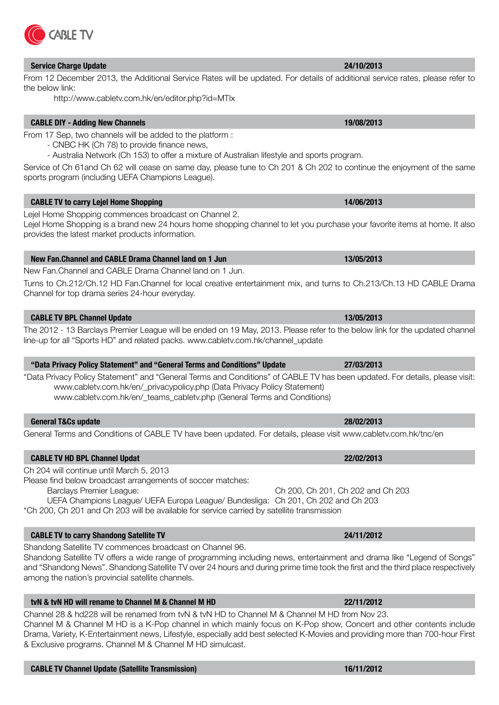# **Service Charge Update 24/10/2013**

From 12 December 2013, the Additional Service Rates will be updated. For details of additional service rates, please refer to the below link:

http://www.cabletv.com.hk/en/editor.php?id=MTIx

# **CABLE DIY - Adding New Channels 19/08/2013**

From 17 Sep, two channels will be added to the platform :

- CNBC HK (Ch 78) to provide finance news,

- Australia Network (Ch 153) to offer a mixture of Australian lifestyle and sports program.

Service of Ch 61and Ch 62 will cease on same day, please tune to Ch 201 & Ch 202 to continue the enjoyment of the same sports program (including UEFA Champions League).

### **CABLE TV to carry Lejel Home Shopping 14/06/2013**

Lejel Home Shopping commences broadcast on Channel 2.

Lejel Home Shopping is a brand new 24 hours home shopping channel to let you purchase your favorite items at home. It also provides the latest market products information.

### **New Fan.Channel and CABLE Drama Channel land on 1 Jun 13/05/2013**

New Fan.Channel and CABLE Drama Channel land on 1 Jun.

Turns to Ch.212/Ch.12 HD Fan.Channel for local creative entertainment mix, and turns to Ch.213/Ch.13 HD CABLE Drama Channel for top drama series 24-hour everyday.

### **CABLE TV BPL Channel Update 13/05/2013**

The 2012 - 13 Barclays Premier League will be ended on 19 May, 2013. Please refer to the below link for the updated channel line-up for all "Sports HD" and related packs. www.cabletv.com.hk/channel\_update

# **"Data Privacy Policy Statement" and "General Terms and Conditions" Update 27/03/2013**

"Data Privacy Policy Statement" and "General Terms and Conditions" of CABLE TV has been updated. For details, please visit: www.cabletv.com.hk/en/\_privacypolicy.php (Data Privacy Policy Statement) www.cabletv.com.hk/en/\_teams\_cabletv.php (General Terms and Conditions)

### **General T&Cs update 28/02/2013**

General Terms and Conditions of CABLE TV have been updated. For details, please visit www.cabletv.com.hk/tnc/en

### **CABLE TV HD BPL Channel Updat 22/02/2013**

Ch 204 will continue until March 5, 2013

Please find below broadcast arrangements of soccer matches: Barclays Premier League: Ch 200, Ch 201, Ch 202 and Ch 203

UEFA Champions League/ UEFA Europa League/ Bundesliga: Ch 201, Ch 202 and Ch 203

\*Ch 200, Ch 201 and Ch 203 will be available for service carried by satellite transmission

# **CABLE TV to carry Shandong Satellite TV 24/11/2012**

Shandong Satellite TV commences broadcast on Channel 96.

Shandong Satellite TV offers a wide range of programming including news, entertainment and drama like "Legend of Songs" and "Shandong News". Shandong Satellite TV over 24 hours and during prime time took the first and the third place respectively among the nation's provincial satellite channels.

# **tvN & tvN HD will rename to Channel M & Channel M HD 22/11/2012**

Channel 28 & hd228 will be renamed from tvN & tvN HD to Channel M & Channel M HD from Nov 23. Channel M & Channel M HD is a K-Pop channel in which mainly focus on K-Pop show, Concert and other contents include Drama, Variety, K-Entertainment news, Lifestyle, especially add best selected K-Movies and providing more than 700-hour First & Exclusive programs. Channel M & Channel M HD simulcast.

**CABLE TV**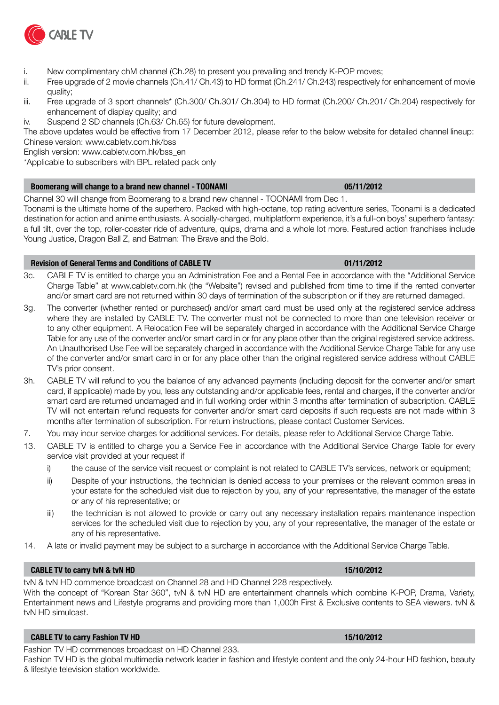

- i. New complimentary chM channel (Ch.28) to present you prevailing and trendy K-POP moves;
- ii. Free upgrade of 2 movie channels (Ch.41/ Ch.43) to HD format (Ch.241/ Ch.243) respectively for enhancement of movie quality;
- iii. Free upgrade of 3 sport channels\* (Ch.300/ Ch.301/ Ch.304) to HD format (Ch.200/ Ch.201/ Ch.204) respectively for enhancement of display quality; and
- iv. Suspend 2 SD channels (Ch.63/ Ch.65) for future development.

The above updates would be effective from 17 December 2012, please refer to the below website for detailed channel lineup: Chinese version: www.cabletv.com.hk/bss

English version: www.cabletv.com.hk/bss\_en

\*Applicable to subscribers with BPL related pack only

### **Boomerang will change to a brand new channel - TOONAMI 05/11/2012**

Channel 30 will change from Boomerang to a brand new channel - TOONAMI from Dec 1.

Toonami is the ultimate home of the superhero. Packed with high-octane, top rating adventure series, Toonami is a dedicated destination for action and anime enthusiasts. A socially-charged, multiplatform experience, it's a full-on boys' superhero fantasy: a full tilt, over the top, roller-coaster ride of adventure, quips, drama and a whole lot more. Featured action franchises include Young Justice, Dragon Ball Z, and Batman: The Brave and the Bold.

### **Revision of General Terms and Conditions of CABLE TV 01/11/2012**

- 3c. CABLE TV is entitled to charge you an Administration Fee and a Rental Fee in accordance with the "Additional Service Charge Table" at www.cabletv.com.hk (the "Website") revised and published from time to time if the rented converter and/or smart card are not returned within 30 days of termination of the subscription or if they are returned damaged.
- 3g. The converter (whether rented or purchased) and/or smart card must be used only at the registered service address where they are installed by CABLE TV. The converter must not be connected to more than one television receiver or to any other equipment. A Relocation Fee will be separately charged in accordance with the Additional Service Charge Table for any use of the converter and/or smart card in or for any place other than the original registered service address. An Unauthorised Use Fee will be separately charged in accordance with the Additional Service Charge Table for any use of the converter and/or smart card in or for any place other than the original registered service address without CABLE TV's prior consent.
- 3h. CABLE TV will refund to you the balance of any advanced payments (including deposit for the converter and/or smart card, if applicable) made by you, less any outstanding and/or applicable fees, rental and charges, if the converter and/or smart card are returned undamaged and in full working order within 3 months after termination of subscription. CABLE TV will not entertain refund requests for converter and/or smart card deposits if such requests are not made within 3 months after termination of subscription. For return instructions, please contact Customer Services.
- 7. You may incur service charges for additional services. For details, please refer to Additional Service Charge Table.
- 13. CABLE TV is entitled to charge you a Service Fee in accordance with the Additional Service Charge Table for every service visit provided at your request if
	- i) the cause of the service visit request or complaint is not related to CABLE TV's services, network or equipment;
	- ii) Despite of your instructions, the technician is denied access to your premises or the relevant common areas in your estate for the scheduled visit due to rejection by you, any of your representative, the manager of the estate or any of his representative; or
	- iii) the technician is not allowed to provide or carry out any necessary installation repairs maintenance inspection services for the scheduled visit due to rejection by you, any of your representative, the manager of the estate or any of his representative.
- 14. A late or invalid payment may be subject to a surcharge in accordance with the Additional Service Charge Table.

### **CABLE TV to carry tvN & tvN HD 15/10/2012**

tvN & tvN HD commence broadcast on Channel 28 and HD Channel 228 respectively.

With the concept of "Korean Star 360", tvN & tvN HD are entertainment channels which combine K-POP, Drama, Variety, Entertainment news and Lifestyle programs and providing more than 1,000h First & Exclusive contents to SEA viewers. tvN & tvN HD simulcast.

### **CABLE TV to carry Fashion TV HD 15/10/2012**

Fashion TV HD commences broadcast on HD Channel 233.

Fashion TV HD is the global multimedia network leader in fashion and lifestyle content and the only 24-hour HD fashion, beauty & lifestyle television station worldwide.